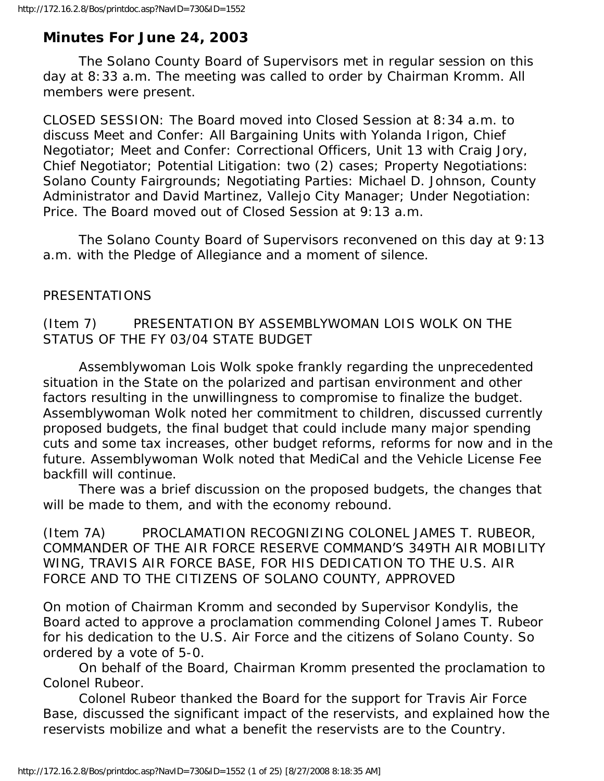# **Minutes For June 24, 2003**

 The Solano County Board of Supervisors met in regular session on this day at 8:33 a.m. The meeting was called to order by Chairman Kromm. All members were present.

CLOSED SESSION: The Board moved into Closed Session at 8:34 a.m. to discuss Meet and Confer: All Bargaining Units with Yolanda Irigon, Chief Negotiator; Meet and Confer: Correctional Officers, Unit 13 with Craig Jory, Chief Negotiator; Potential Litigation: two (2) cases; Property Negotiations: Solano County Fairgrounds; Negotiating Parties: Michael D. Johnson, County Administrator and David Martinez, Vallejo City Manager; Under Negotiation: Price. The Board moved out of Closed Session at 9:13 a.m.

 The Solano County Board of Supervisors reconvened on this day at 9:13 a.m. with the Pledge of Allegiance and a moment of silence.

### PRESENTATIONS

## (Item 7) PRESENTATION BY ASSEMBLYWOMAN LOIS WOLK ON THE STATUS OF THE FY 03/04 STATE BUDGET

 Assemblywoman Lois Wolk spoke frankly regarding the unprecedented situation in the State on the polarized and partisan environment and other factors resulting in the unwillingness to compromise to finalize the budget. Assemblywoman Wolk noted her commitment to children, discussed currently proposed budgets, the final budget that could include many major spending cuts and some tax increases, other budget reforms, reforms for now and in the future. Assemblywoman Wolk noted that MediCal and the Vehicle License Fee backfill will continue.

 There was a brief discussion on the proposed budgets, the changes that will be made to them, and with the economy rebound.

(Item 7A) PROCLAMATION RECOGNIZING COLONEL JAMES T. RUBEOR, COMMANDER OF THE AIR FORCE RESERVE COMMAND'S 349TH AIR MOBILITY WING, TRAVIS AIR FORCE BASE, FOR HIS DEDICATION TO THE U.S. AIR FORCE AND TO THE CITIZENS OF SOLANO COUNTY, APPROVED

On motion of Chairman Kromm and seconded by Supervisor Kondylis, the Board acted to approve a proclamation commending Colonel James T. Rubeor for his dedication to the U.S. Air Force and the citizens of Solano County. So ordered by a vote of 5-0.

 On behalf of the Board, Chairman Kromm presented the proclamation to Colonel Rubeor.

 Colonel Rubeor thanked the Board for the support for Travis Air Force Base, discussed the significant impact of the reservists, and explained how the reservists mobilize and what a benefit the reservists are to the Country.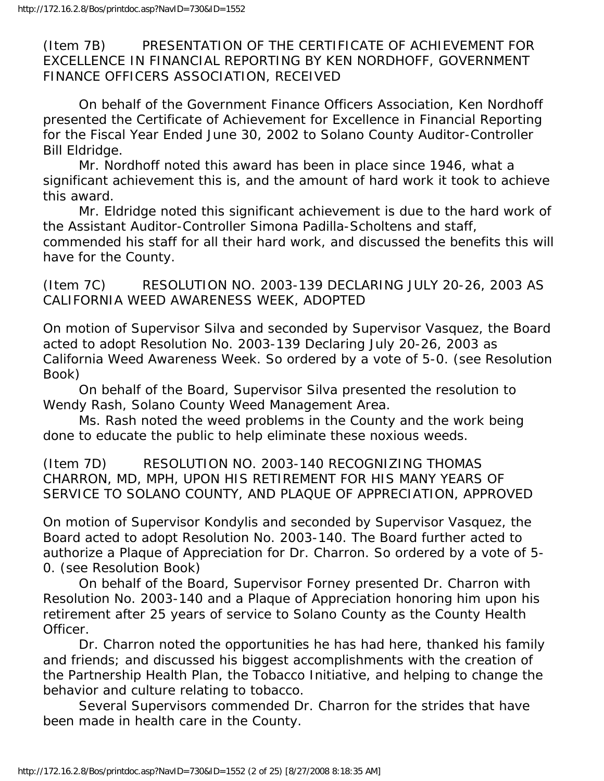(Item 7B) PRESENTATION OF THE CERTIFICATE OF ACHIEVEMENT FOR EXCELLENCE IN FINANCIAL REPORTING BY KEN NORDHOFF, GOVERNMENT FINANCE OFFICERS ASSOCIATION, RECEIVED

 On behalf of the Government Finance Officers Association, Ken Nordhoff presented the Certificate of Achievement for Excellence in Financial Reporting for the Fiscal Year Ended June 30, 2002 to Solano County Auditor-Controller Bill Eldridge.

 Mr. Nordhoff noted this award has been in place since 1946, what a significant achievement this is, and the amount of hard work it took to achieve this award.

 Mr. Eldridge noted this significant achievement is due to the hard work of the Assistant Auditor-Controller Simona Padilla-Scholtens and staff, commended his staff for all their hard work, and discussed the benefits this will have for the County.

(Item 7C) RESOLUTION NO. 2003-139 DECLARING JULY 20-26, 2003 AS CALIFORNIA WEED AWARENESS WEEK, ADOPTED

On motion of Supervisor Silva and seconded by Supervisor Vasquez, the Board acted to adopt Resolution No. 2003-139 Declaring July 20-26, 2003 as California Weed Awareness Week. So ordered by a vote of 5-0. (see Resolution Book)

 On behalf of the Board, Supervisor Silva presented the resolution to Wendy Rash, Solano County Weed Management Area.

 Ms. Rash noted the weed problems in the County and the work being done to educate the public to help eliminate these noxious weeds.

(Item 7D) RESOLUTION NO. 2003-140 RECOGNIZING THOMAS CHARRON, MD, MPH, UPON HIS RETIREMENT FOR HIS MANY YEARS OF SERVICE TO SOLANO COUNTY, AND PLAQUE OF APPRECIATION, APPROVED

On motion of Supervisor Kondylis and seconded by Supervisor Vasquez, the Board acted to adopt Resolution No. 2003-140. The Board further acted to authorize a Plaque of Appreciation for Dr. Charron. So ordered by a vote of 5- 0. (see Resolution Book)

 On behalf of the Board, Supervisor Forney presented Dr. Charron with Resolution No. 2003-140 and a Plaque of Appreciation honoring him upon his retirement after 25 years of service to Solano County as the County Health Officer.

 Dr. Charron noted the opportunities he has had here, thanked his family and friends; and discussed his biggest accomplishments with the creation of the Partnership Health Plan, the Tobacco Initiative, and helping to change the behavior and culture relating to tobacco.

 Several Supervisors commended Dr. Charron for the strides that have been made in health care in the County.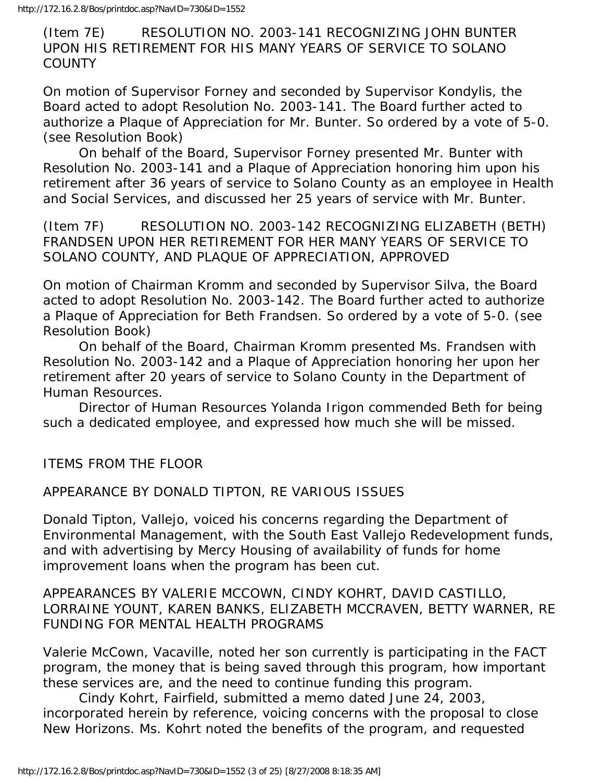(Item 7E) RESOLUTION NO. 2003-141 RECOGNIZING JOHN BUNTER UPON HIS RETIREMENT FOR HIS MANY YEARS OF SERVICE TO SOLANO **COUNTY** 

On motion of Supervisor Forney and seconded by Supervisor Kondylis, the Board acted to adopt Resolution No. 2003-141. The Board further acted to authorize a Plaque of Appreciation for Mr. Bunter. So ordered by a vote of 5-0. (see Resolution Book)

 On behalf of the Board, Supervisor Forney presented Mr. Bunter with Resolution No. 2003-141 and a Plaque of Appreciation honoring him upon his retirement after 36 years of service to Solano County as an employee in Health and Social Services, and discussed her 25 years of service with Mr. Bunter.

(Item 7F) RESOLUTION NO. 2003-142 RECOGNIZING ELIZABETH (BETH) FRANDSEN UPON HER RETIREMENT FOR HER MANY YEARS OF SERVICE TO SOLANO COUNTY, AND PLAQUE OF APPRECIATION, APPROVED

On motion of Chairman Kromm and seconded by Supervisor Silva, the Board acted to adopt Resolution No. 2003-142. The Board further acted to authorize a Plaque of Appreciation for Beth Frandsen. So ordered by a vote of 5-0. (see Resolution Book)

 On behalf of the Board, Chairman Kromm presented Ms. Frandsen with Resolution No. 2003-142 and a Plaque of Appreciation honoring her upon her retirement after 20 years of service to Solano County in the Department of Human Resources.

 Director of Human Resources Yolanda Irigon commended Beth for being such a dedicated employee, and expressed how much she will be missed.

ITEMS FROM THE FLOOR

APPEARANCE BY DONALD TIPTON, RE VARIOUS ISSUES

Donald Tipton, Vallejo, voiced his concerns regarding the Department of Environmental Management, with the South East Vallejo Redevelopment funds, and with advertising by Mercy Housing of availability of funds for home improvement loans when the program has been cut.

APPEARANCES BY VALERIE MCCOWN, CINDY KOHRT, DAVID CASTILLO, LORRAINE YOUNT, KAREN BANKS, ELIZABETH MCCRAVEN, BETTY WARNER, RE FUNDING FOR MENTAL HEALTH PROGRAMS

Valerie McCown, Vacaville, noted her son currently is participating in the FACT program, the money that is being saved through this program, how important these services are, and the need to continue funding this program.

 Cindy Kohrt, Fairfield, submitted a memo dated June 24, 2003, incorporated herein by reference, voicing concerns with the proposal to close New Horizons. Ms. Kohrt noted the benefits of the program, and requested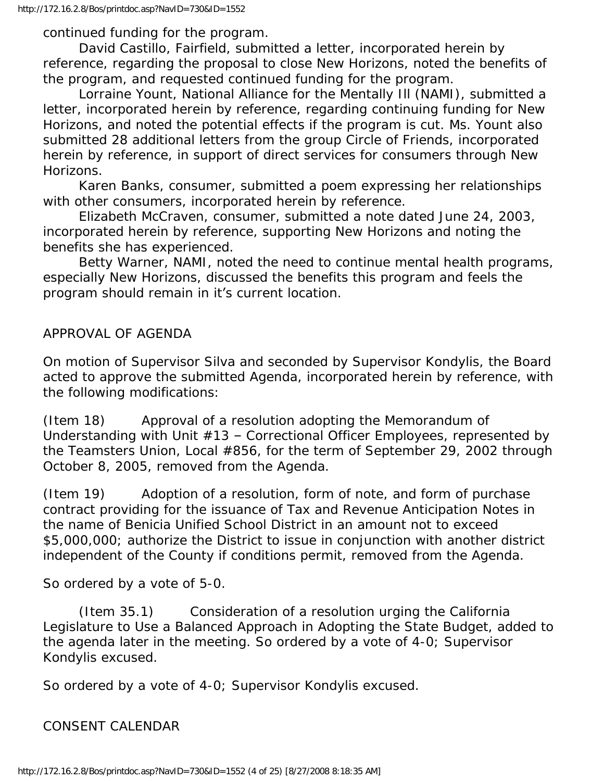http://172.16.2.8/Bos/printdoc.asp?NavID=730&ID=1552

continued funding for the program.

 David Castillo, Fairfield, submitted a letter, incorporated herein by reference, regarding the proposal to close New Horizons, noted the benefits of the program, and requested continued funding for the program.

 Lorraine Yount, National Alliance for the Mentally Ill (NAMI), submitted a letter, incorporated herein by reference, regarding continuing funding for New Horizons, and noted the potential effects if the program is cut. Ms. Yount also submitted 28 additional letters from the group Circle of Friends, incorporated herein by reference, in support of direct services for consumers through New Horizons.

 Karen Banks, consumer, submitted a poem expressing her relationships with other consumers, incorporated herein by reference.

 Elizabeth McCraven, consumer, submitted a note dated June 24, 2003, incorporated herein by reference, supporting New Horizons and noting the benefits she has experienced.

 Betty Warner, NAMI, noted the need to continue mental health programs, especially New Horizons, discussed the benefits this program and feels the program should remain in it's current location.

#### APPROVAL OF AGENDA

On motion of Supervisor Silva and seconded by Supervisor Kondylis, the Board acted to approve the submitted Agenda, incorporated herein by reference, with the following modifications:

(Item 18) Approval of a resolution adopting the Memorandum of Understanding with Unit #13 – Correctional Officer Employees, represented by the Teamsters Union, Local #856, for the term of September 29, 2002 through October 8, 2005, removed from the Agenda.

(Item 19) Adoption of a resolution, form of note, and form of purchase contract providing for the issuance of Tax and Revenue Anticipation Notes in the name of Benicia Unified School District in an amount not to exceed \$5,000,000; authorize the District to issue in conjunction with another district independent of the County if conditions permit, removed from the Agenda.

So ordered by a vote of 5-0.

 (Item 35.1) Consideration of a resolution urging the California Legislature to Use a Balanced Approach in Adopting the State Budget, added to the agenda later in the meeting. So ordered by a vote of 4-0; Supervisor Kondylis excused.

So ordered by a vote of 4-0; Supervisor Kondylis excused.

CONSENT CALENDAR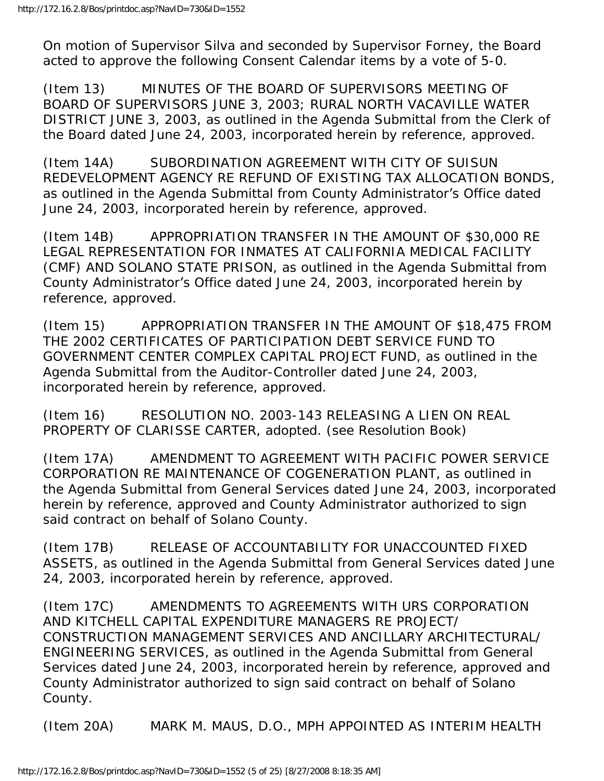On motion of Supervisor Silva and seconded by Supervisor Forney, the Board acted to approve the following Consent Calendar items by a vote of 5-0.

(Item 13) MINUTES OF THE BOARD OF SUPERVISORS MEETING OF BOARD OF SUPERVISORS JUNE 3, 2003; RURAL NORTH VACAVILLE WATER DISTRICT JUNE 3, 2003, as outlined in the Agenda Submittal from the Clerk of the Board dated June 24, 2003, incorporated herein by reference, approved.

(Item 14A) SUBORDINATION AGREEMENT WITH CITY OF SUISUN REDEVELOPMENT AGENCY RE REFUND OF EXISTING TAX ALLOCATION BONDS, as outlined in the Agenda Submittal from County Administrator's Office dated June 24, 2003, incorporated herein by reference, approved.

(Item 14B) APPROPRIATION TRANSFER IN THE AMOUNT OF \$30,000 RE LEGAL REPRESENTATION FOR INMATES AT CALIFORNIA MEDICAL FACILITY (CMF) AND SOLANO STATE PRISON, as outlined in the Agenda Submittal from County Administrator's Office dated June 24, 2003, incorporated herein by reference, approved.

(Item 15) APPROPRIATION TRANSFER IN THE AMOUNT OF \$18,475 FROM THE 2002 CERTIFICATES OF PARTICIPATION DEBT SERVICE FUND TO GOVERNMENT CENTER COMPLEX CAPITAL PROJECT FUND, as outlined in the Agenda Submittal from the Auditor-Controller dated June 24, 2003, incorporated herein by reference, approved.

(Item 16) RESOLUTION NO. 2003-143 RELEASING A LIEN ON REAL PROPERTY OF CLARISSE CARTER, adopted. (see Resolution Book)

(Item 17A) AMENDMENT TO AGREEMENT WITH PACIFIC POWER SERVICE CORPORATION RE MAINTENANCE OF COGENERATION PLANT, as outlined in the Agenda Submittal from General Services dated June 24, 2003, incorporated herein by reference, approved and County Administrator authorized to sign said contract on behalf of Solano County.

(Item 17B) RELEASE OF ACCOUNTABILITY FOR UNACCOUNTED FIXED ASSETS, as outlined in the Agenda Submittal from General Services dated June 24, 2003, incorporated herein by reference, approved.

(Item 17C) AMENDMENTS TO AGREEMENTS WITH URS CORPORATION AND KITCHELL CAPITAL EXPENDITURE MANAGERS RE PROJECT/ CONSTRUCTION MANAGEMENT SERVICES AND ANCILLARY ARCHITECTURAL/ ENGINEERING SERVICES, as outlined in the Agenda Submittal from General Services dated June 24, 2003, incorporated herein by reference, approved and County Administrator authorized to sign said contract on behalf of Solano County.

(Item 20A) MARK M. MAUS, D.O., MPH APPOINTED AS INTERIM HEALTH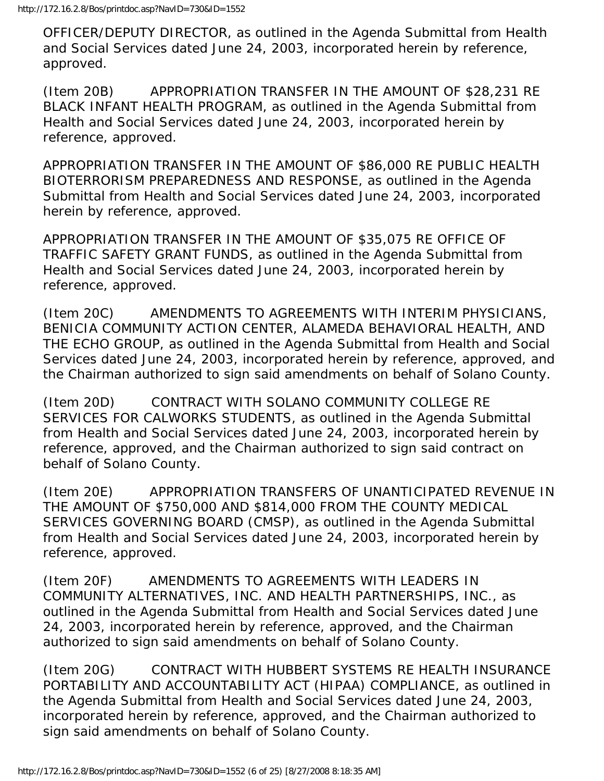OFFICER/DEPUTY DIRECTOR, as outlined in the Agenda Submittal from Health and Social Services dated June 24, 2003, incorporated herein by reference, approved.

(Item 20B) APPROPRIATION TRANSFER IN THE AMOUNT OF \$28,231 RE BLACK INFANT HEALTH PROGRAM, as outlined in the Agenda Submittal from Health and Social Services dated June 24, 2003, incorporated herein by reference, approved.

APPROPRIATION TRANSFER IN THE AMOUNT OF \$86,000 RE PUBLIC HEALTH BIOTERRORISM PREPAREDNESS AND RESPONSE, as outlined in the Agenda Submittal from Health and Social Services dated June 24, 2003, incorporated herein by reference, approved.

APPROPRIATION TRANSFER IN THE AMOUNT OF \$35,075 RE OFFICE OF TRAFFIC SAFETY GRANT FUNDS, as outlined in the Agenda Submittal from Health and Social Services dated June 24, 2003, incorporated herein by reference, approved.

(Item 20C) AMENDMENTS TO AGREEMENTS WITH INTERIM PHYSICIANS, BENICIA COMMUNITY ACTION CENTER, ALAMEDA BEHAVIORAL HEALTH, AND THE ECHO GROUP, as outlined in the Agenda Submittal from Health and Social Services dated June 24, 2003, incorporated herein by reference, approved, and the Chairman authorized to sign said amendments on behalf of Solano County.

(Item 20D) CONTRACT WITH SOLANO COMMUNITY COLLEGE RE SERVICES FOR CALWORKS STUDENTS, as outlined in the Agenda Submittal from Health and Social Services dated June 24, 2003, incorporated herein by reference, approved, and the Chairman authorized to sign said contract on behalf of Solano County.

(Item 20E) APPROPRIATION TRANSFERS OF UNANTICIPATED REVENUE IN THE AMOUNT OF \$750,000 AND \$814,000 FROM THE COUNTY MEDICAL SERVICES GOVERNING BOARD (CMSP), as outlined in the Agenda Submittal from Health and Social Services dated June 24, 2003, incorporated herein by reference, approved.

(Item 20F) AMENDMENTS TO AGREEMENTS WITH LEADERS IN COMMUNITY ALTERNATIVES, INC. AND HEALTH PARTNERSHIPS, INC., as outlined in the Agenda Submittal from Health and Social Services dated June 24, 2003, incorporated herein by reference, approved, and the Chairman authorized to sign said amendments on behalf of Solano County.

(Item 20G) CONTRACT WITH HUBBERT SYSTEMS RE HEALTH INSURANCE PORTABILITY AND ACCOUNTABILITY ACT (HIPAA) COMPLIANCE, as outlined in the Agenda Submittal from Health and Social Services dated June 24, 2003, incorporated herein by reference, approved, and the Chairman authorized to sign said amendments on behalf of Solano County.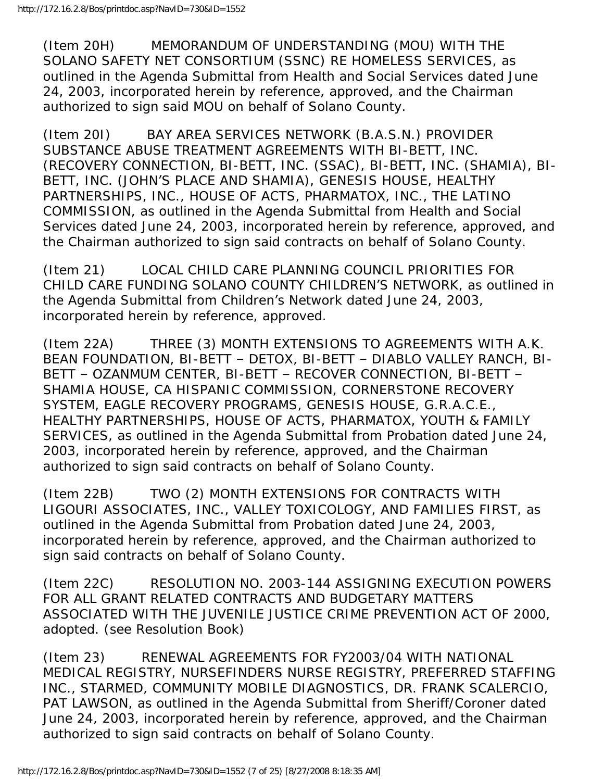(Item 20H) MEMORANDUM OF UNDERSTANDING (MOU) WITH THE SOLANO SAFETY NET CONSORTIUM (SSNC) RE HOMELESS SERVICES, as outlined in the Agenda Submittal from Health and Social Services dated June 24, 2003, incorporated herein by reference, approved, and the Chairman authorized to sign said MOU on behalf of Solano County.

(Item 20I) BAY AREA SERVICES NETWORK (B.A.S.N.) PROVIDER SUBSTANCE ABUSE TREATMENT AGREEMENTS WITH BI-BETT, INC. (RECOVERY CONNECTION, BI-BETT, INC. (SSAC), BI-BETT, INC. (SHAMIA), BI-BETT, INC. (JOHN'S PLACE AND SHAMIA), GENESIS HOUSE, HEALTHY PARTNERSHIPS, INC., HOUSE OF ACTS, PHARMATOX, INC., THE LATINO COMMISSION, as outlined in the Agenda Submittal from Health and Social Services dated June 24, 2003, incorporated herein by reference, approved, and the Chairman authorized to sign said contracts on behalf of Solano County.

(Item 21) LOCAL CHILD CARE PLANNING COUNCIL PRIORITIES FOR CHILD CARE FUNDING SOLANO COUNTY CHILDREN'S NETWORK, as outlined in the Agenda Submittal from Children's Network dated June 24, 2003, incorporated herein by reference, approved.

(Item 22A) THREE (3) MONTH EXTENSIONS TO AGREEMENTS WITH A.K. BEAN FOUNDATION, BI-BETT – DETOX, BI-BETT – DIABLO VALLEY RANCH, BI-BETT – OZANMUM CENTER, BI-BETT – RECOVER CONNECTION, BI-BETT – SHAMIA HOUSE, CA HISPANIC COMMISSION, CORNERSTONE RECOVERY SYSTEM, EAGLE RECOVERY PROGRAMS, GENESIS HOUSE, G.R.A.C.E., HEALTHY PARTNERSHIPS, HOUSE OF ACTS, PHARMATOX, YOUTH & FAMILY SERVICES, as outlined in the Agenda Submittal from Probation dated June 24, 2003, incorporated herein by reference, approved, and the Chairman authorized to sign said contracts on behalf of Solano County.

(Item 22B) TWO (2) MONTH EXTENSIONS FOR CONTRACTS WITH LIGOURI ASSOCIATES, INC., VALLEY TOXICOLOGY, AND FAMILIES FIRST, as outlined in the Agenda Submittal from Probation dated June 24, 2003, incorporated herein by reference, approved, and the Chairman authorized to sign said contracts on behalf of Solano County.

(Item 22C) RESOLUTION NO. 2003-144 ASSIGNING EXECUTION POWERS FOR ALL GRANT RELATED CONTRACTS AND BUDGETARY MATTERS ASSOCIATED WITH THE JUVENILE JUSTICE CRIME PREVENTION ACT OF 2000, adopted. (see Resolution Book)

(Item 23) RENEWAL AGREEMENTS FOR FY2003/04 WITH NATIONAL MEDICAL REGISTRY, NURSEFINDERS NURSE REGISTRY, PREFERRED STAFFING INC., STARMED, COMMUNITY MOBILE DIAGNOSTICS, DR. FRANK SCALERCIO, PAT LAWSON, as outlined in the Agenda Submittal from Sheriff/Coroner dated June 24, 2003, incorporated herein by reference, approved, and the Chairman authorized to sign said contracts on behalf of Solano County.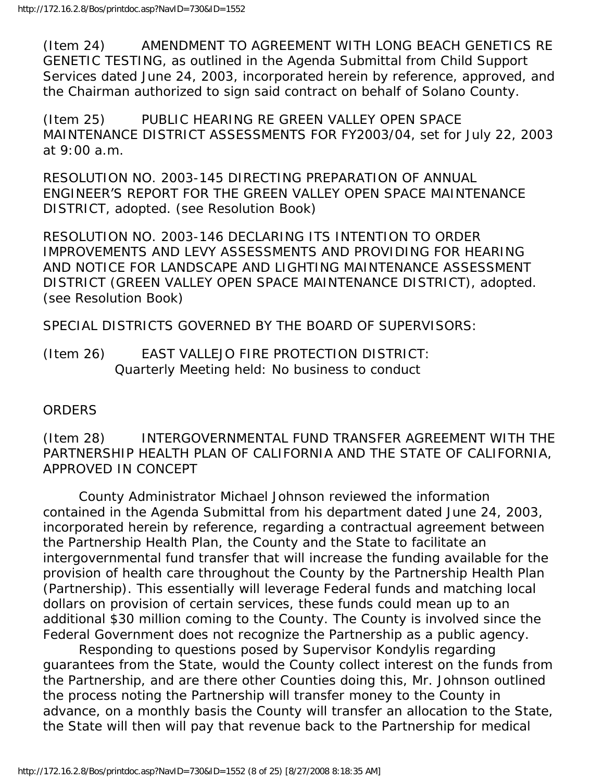(Item 24) AMENDMENT TO AGREEMENT WITH LONG BEACH GENETICS RE GENETIC TESTING, as outlined in the Agenda Submittal from Child Support Services dated June 24, 2003, incorporated herein by reference, approved, and the Chairman authorized to sign said contract on behalf of Solano County.

(Item 25) PUBLIC HEARING RE GREEN VALLEY OPEN SPACE MAINTENANCE DISTRICT ASSESSMENTS FOR FY2003/04, set for July 22, 2003 at 9:00 a.m.

RESOLUTION NO. 2003-145 DIRECTING PREPARATION OF ANNUAL ENGINEER'S REPORT FOR THE GREEN VALLEY OPEN SPACE MAINTENANCE DISTRICT, adopted. (see Resolution Book)

RESOLUTION NO. 2003-146 DECLARING ITS INTENTION TO ORDER IMPROVEMENTS AND LEVY ASSESSMENTS AND PROVIDING FOR HEARING AND NOTICE FOR LANDSCAPE AND LIGHTING MAINTENANCE ASSESSMENT DISTRICT (GREEN VALLEY OPEN SPACE MAINTENANCE DISTRICT), adopted. (see Resolution Book)

SPECIAL DISTRICTS GOVERNED BY THE BOARD OF SUPERVISORS:

(Item 26) EAST VALLEJO FIRE PROTECTION DISTRICT: Quarterly Meeting held: No business to conduct

#### **ORDERS**

(Item 28) INTERGOVERNMENTAL FUND TRANSFER AGREEMENT WITH THE PARTNERSHIP HEALTH PLAN OF CALIFORNIA AND THE STATE OF CALIFORNIA, APPROVED IN CONCEPT

 County Administrator Michael Johnson reviewed the information contained in the Agenda Submittal from his department dated June 24, 2003, incorporated herein by reference, regarding a contractual agreement between the Partnership Health Plan, the County and the State to facilitate an intergovernmental fund transfer that will increase the funding available for the provision of health care throughout the County by the Partnership Health Plan (Partnership). This essentially will leverage Federal funds and matching local dollars on provision of certain services, these funds could mean up to an additional \$30 million coming to the County. The County is involved since the Federal Government does not recognize the Partnership as a public agency.

 Responding to questions posed by Supervisor Kondylis regarding guarantees from the State, would the County collect interest on the funds from the Partnership, and are there other Counties doing this, Mr. Johnson outlined the process noting the Partnership will transfer money to the County in advance, on a monthly basis the County will transfer an allocation to the State, the State will then will pay that revenue back to the Partnership for medical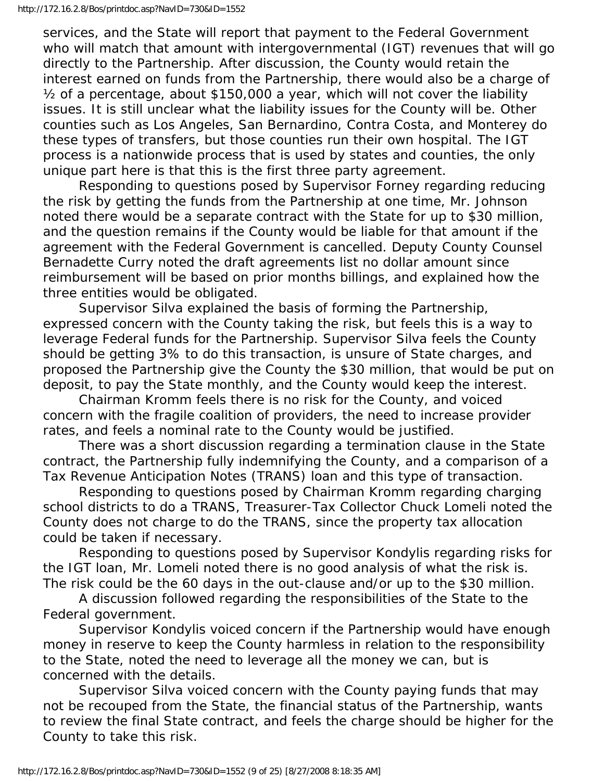services, and the State will report that payment to the Federal Government who will match that amount with intergovernmental (IGT) revenues that will go directly to the Partnership. After discussion, the County would retain the interest earned on funds from the Partnership, there would also be a charge of ½ of a percentage, about \$150,000 a year, which will not cover the liability issues. It is still unclear what the liability issues for the County will be. Other counties such as Los Angeles, San Bernardino, Contra Costa, and Monterey do these types of transfers, but those counties run their own hospital. The IGT process is a nationwide process that is used by states and counties, the only unique part here is that this is the first three party agreement.

 Responding to questions posed by Supervisor Forney regarding reducing the risk by getting the funds from the Partnership at one time, Mr. Johnson noted there would be a separate contract with the State for up to \$30 million, and the question remains if the County would be liable for that amount if the agreement with the Federal Government is cancelled. Deputy County Counsel Bernadette Curry noted the draft agreements list no dollar amount since reimbursement will be based on prior months billings, and explained how the three entities would be obligated.

 Supervisor Silva explained the basis of forming the Partnership, expressed concern with the County taking the risk, but feels this is a way to leverage Federal funds for the Partnership. Supervisor Silva feels the County should be getting 3% to do this transaction, is unsure of State charges, and proposed the Partnership give the County the \$30 million, that would be put on deposit, to pay the State monthly, and the County would keep the interest.

 Chairman Kromm feels there is no risk for the County, and voiced concern with the fragile coalition of providers, the need to increase provider rates, and feels a nominal rate to the County would be justified.

 There was a short discussion regarding a termination clause in the State contract, the Partnership fully indemnifying the County, and a comparison of a Tax Revenue Anticipation Notes (TRANS) loan and this type of transaction.

 Responding to questions posed by Chairman Kromm regarding charging school districts to do a TRANS, Treasurer-Tax Collector Chuck Lomeli noted the County does not charge to do the TRANS, since the property tax allocation could be taken if necessary.

 Responding to questions posed by Supervisor Kondylis regarding risks for the IGT loan, Mr. Lomeli noted there is no good analysis of what the risk is. The risk could be the 60 days in the out-clause and/or up to the \$30 million.

 A discussion followed regarding the responsibilities of the State to the Federal government.

 Supervisor Kondylis voiced concern if the Partnership would have enough money in reserve to keep the County harmless in relation to the responsibility to the State, noted the need to leverage all the money we can, but is concerned with the details.

 Supervisor Silva voiced concern with the County paying funds that may not be recouped from the State, the financial status of the Partnership, wants to review the final State contract, and feels the charge should be higher for the County to take this risk.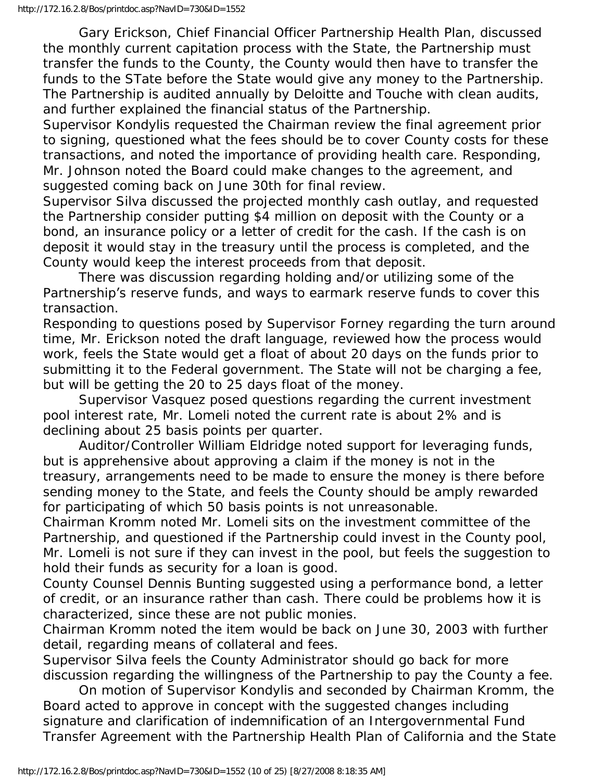Gary Erickson, Chief Financial Officer Partnership Health Plan, discussed the monthly current capitation process with the State, the Partnership must transfer the funds to the County, the County would then have to transfer the funds to the STate before the State would give any money to the Partnership. The Partnership is audited annually by Deloitte and Touche with clean audits, and further explained the financial status of the Partnership.

Supervisor Kondylis requested the Chairman review the final agreement prior to signing, questioned what the fees should be to cover County costs for these transactions, and noted the importance of providing health care. Responding, Mr. Johnson noted the Board could make changes to the agreement, and suggested coming back on June 30th for final review.

Supervisor Silva discussed the projected monthly cash outlay, and requested the Partnership consider putting \$4 million on deposit with the County or a bond, an insurance policy or a letter of credit for the cash. If the cash is on deposit it would stay in the treasury until the process is completed, and the County would keep the interest proceeds from that deposit.

 There was discussion regarding holding and/or utilizing some of the Partnership's reserve funds, and ways to earmark reserve funds to cover this transaction.

Responding to questions posed by Supervisor Forney regarding the turn around time, Mr. Erickson noted the draft language, reviewed how the process would work, feels the State would get a float of about 20 days on the funds prior to submitting it to the Federal government. The State will not be charging a fee, but will be getting the 20 to 25 days float of the money.

 Supervisor Vasquez posed questions regarding the current investment pool interest rate, Mr. Lomeli noted the current rate is about 2% and is declining about 25 basis points per quarter.

 Auditor/Controller William Eldridge noted support for leveraging funds, but is apprehensive about approving a claim if the money is not in the treasury, arrangements need to be made to ensure the money is there before sending money to the State, and feels the County should be amply rewarded for participating of which 50 basis points is not unreasonable.

Chairman Kromm noted Mr. Lomeli sits on the investment committee of the Partnership, and questioned if the Partnership could invest in the County pool, Mr. Lomeli is not sure if they can invest in the pool, but feels the suggestion to hold their funds as security for a loan is good.

County Counsel Dennis Bunting suggested using a performance bond, a letter of credit, or an insurance rather than cash. There could be problems how it is characterized, since these are not public monies.

Chairman Kromm noted the item would be back on June 30, 2003 with further detail, regarding means of collateral and fees.

Supervisor Silva feels the County Administrator should go back for more discussion regarding the willingness of the Partnership to pay the County a fee.

 On motion of Supervisor Kondylis and seconded by Chairman Kromm, the Board acted to approve in concept with the suggested changes including signature and clarification of indemnification of an Intergovernmental Fund Transfer Agreement with the Partnership Health Plan of California and the State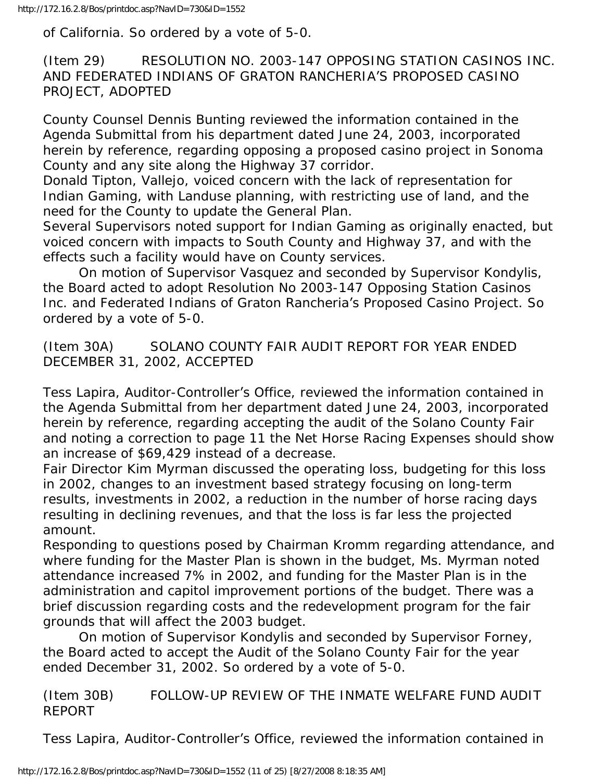of California. So ordered by a vote of 5-0.

(Item 29) RESOLUTION NO. 2003-147 OPPOSING STATION CASINOS INC. AND FEDERATED INDIANS OF GRATON RANCHERIA'S PROPOSED CASINO PROJECT, ADOPTED

County Counsel Dennis Bunting reviewed the information contained in the Agenda Submittal from his department dated June 24, 2003, incorporated herein by reference, regarding opposing a proposed casino project in Sonoma County and any site along the Highway 37 corridor.

Donald Tipton, Vallejo, voiced concern with the lack of representation for Indian Gaming, with Landuse planning, with restricting use of land, and the need for the County to update the General Plan.

Several Supervisors noted support for Indian Gaming as originally enacted, but voiced concern with impacts to South County and Highway 37, and with the effects such a facility would have on County services.

 On motion of Supervisor Vasquez and seconded by Supervisor Kondylis, the Board acted to adopt Resolution No 2003-147 Opposing Station Casinos Inc. and Federated Indians of Graton Rancheria's Proposed Casino Project. So ordered by a vote of 5-0.

(Item 30A) SOLANO COUNTY FAIR AUDIT REPORT FOR YEAR ENDED DECEMBER 31, 2002, ACCEPTED

Tess Lapira, Auditor-Controller's Office, reviewed the information contained in the Agenda Submittal from her department dated June 24, 2003, incorporated herein by reference, regarding accepting the audit of the Solano County Fair and noting a correction to page 11 the Net Horse Racing Expenses should show an increase of \$69,429 instead of a decrease.

Fair Director Kim Myrman discussed the operating loss, budgeting for this loss in 2002, changes to an investment based strategy focusing on long-term results, investments in 2002, a reduction in the number of horse racing days resulting in declining revenues, and that the loss is far less the projected amount.

Responding to questions posed by Chairman Kromm regarding attendance, and where funding for the Master Plan is shown in the budget, Ms. Myrman noted attendance increased 7% in 2002, and funding for the Master Plan is in the administration and capitol improvement portions of the budget. There was a brief discussion regarding costs and the redevelopment program for the fair grounds that will affect the 2003 budget.

 On motion of Supervisor Kondylis and seconded by Supervisor Forney, the Board acted to accept the Audit of the Solano County Fair for the year ended December 31, 2002. So ordered by a vote of 5-0.

(Item 30B) FOLLOW-UP REVIEW OF THE INMATE WELFARE FUND AUDIT REPORT

Tess Lapira, Auditor-Controller's Office, reviewed the information contained in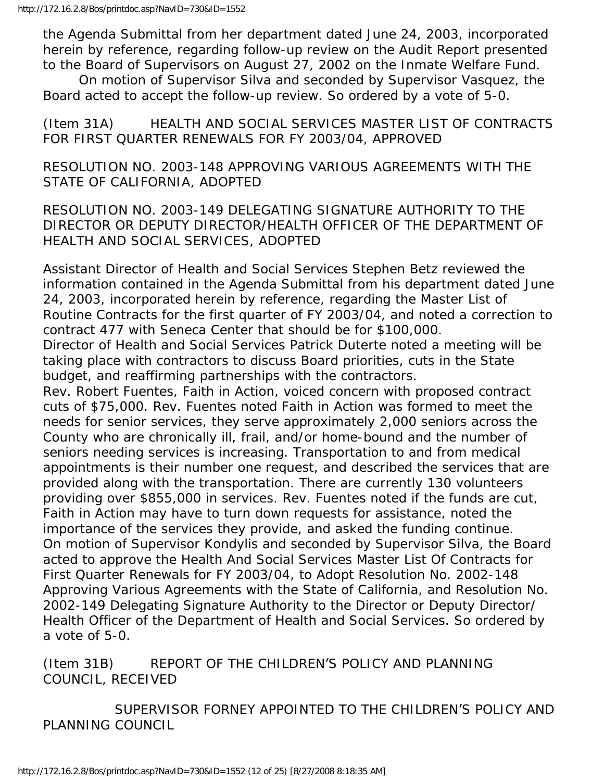the Agenda Submittal from her department dated June 24, 2003, incorporated herein by reference, regarding follow-up review on the Audit Report presented to the Board of Supervisors on August 27, 2002 on the Inmate Welfare Fund.

 On motion of Supervisor Silva and seconded by Supervisor Vasquez, the Board acted to accept the follow-up review. So ordered by a vote of 5-0.

(Item 31A) HEALTH AND SOCIAL SERVICES MASTER LIST OF CONTRACTS FOR FIRST QUARTER RENEWALS FOR FY 2003/04, APPROVED

RESOLUTION NO. 2003-148 APPROVING VARIOUS AGREEMENTS WITH THE STATE OF CALIFORNIA, ADOPTED

RESOLUTION NO. 2003-149 DELEGATING SIGNATURE AUTHORITY TO THE DIRECTOR OR DEPUTY DIRECTOR/HEALTH OFFICER OF THE DEPARTMENT OF HEALTH AND SOCIAL SERVICES, ADOPTED

Assistant Director of Health and Social Services Stephen Betz reviewed the information contained in the Agenda Submittal from his department dated June 24, 2003, incorporated herein by reference, regarding the Master List of Routine Contracts for the first quarter of FY 2003/04, and noted a correction to contract 477 with Seneca Center that should be for \$100,000.

Director of Health and Social Services Patrick Duterte noted a meeting will be taking place with contractors to discuss Board priorities, cuts in the State budget, and reaffirming partnerships with the contractors.

Rev. Robert Fuentes, Faith in Action, voiced concern with proposed contract cuts of \$75,000. Rev. Fuentes noted Faith in Action was formed to meet the needs for senior services, they serve approximately 2,000 seniors across the County who are chronically ill, frail, and/or home-bound and the number of seniors needing services is increasing. Transportation to and from medical appointments is their number one request, and described the services that are provided along with the transportation. There are currently 130 volunteers providing over \$855,000 in services. Rev. Fuentes noted if the funds are cut, Faith in Action may have to turn down requests for assistance, noted the importance of the services they provide, and asked the funding continue. On motion of Supervisor Kondylis and seconded by Supervisor Silva, the Board acted to approve the Health And Social Services Master List Of Contracts for First Quarter Renewals for FY 2003/04, to Adopt Resolution No. 2002-148 Approving Various Agreements with the State of California, and Resolution No. 2002-149 Delegating Signature Authority to the Director or Deputy Director/ Health Officer of the Department of Health and Social Services. So ordered by a vote of 5-0.

(Item 31B) REPORT OF THE CHILDREN'S POLICY AND PLANNING COUNCIL, RECEIVED

 SUPERVISOR FORNEY APPOINTED TO THE CHILDREN'S POLICY AND PLANNING COUNCIL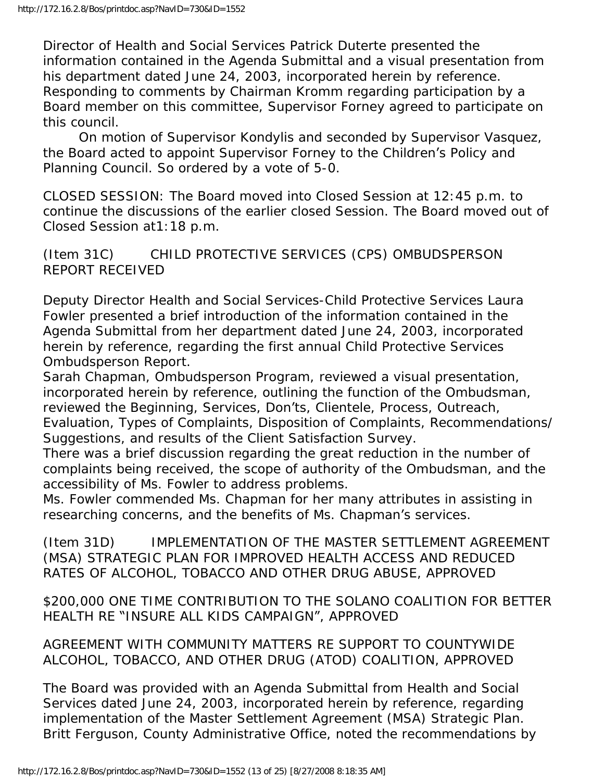Director of Health and Social Services Patrick Duterte presented the information contained in the Agenda Submittal and a visual presentation from his department dated June 24, 2003, incorporated herein by reference. Responding to comments by Chairman Kromm regarding participation by a Board member on this committee, Supervisor Forney agreed to participate on this council.

 On motion of Supervisor Kondylis and seconded by Supervisor Vasquez, the Board acted to appoint Supervisor Forney to the Children's Policy and Planning Council. So ordered by a vote of 5-0.

CLOSED SESSION: The Board moved into Closed Session at 12:45 p.m. to continue the discussions of the earlier closed Session. The Board moved out of Closed Session at1:18 p.m.

## (Item 31C) CHILD PROTECTIVE SERVICES (CPS) OMBUDSPERSON REPORT RECEIVED

Deputy Director Health and Social Services-Child Protective Services Laura Fowler presented a brief introduction of the information contained in the Agenda Submittal from her department dated June 24, 2003, incorporated herein by reference, regarding the first annual Child Protective Services Ombudsperson Report.

Sarah Chapman, Ombudsperson Program, reviewed a visual presentation, incorporated herein by reference, outlining the function of the Ombudsman, reviewed the Beginning, Services, Don'ts, Clientele, Process, Outreach, Evaluation, Types of Complaints, Disposition of Complaints, Recommendations/ Suggestions, and results of the Client Satisfaction Survey.

There was a brief discussion regarding the great reduction in the number of complaints being received, the scope of authority of the Ombudsman, and the accessibility of Ms. Fowler to address problems.

Ms. Fowler commended Ms. Chapman for her many attributes in assisting in researching concerns, and the benefits of Ms. Chapman's services.

(Item 31D) IMPLEMENTATION OF THE MASTER SETTLEMENT AGREEMENT (MSA) STRATEGIC PLAN FOR IMPROVED HEALTH ACCESS AND REDUCED RATES OF ALCOHOL, TOBACCO AND OTHER DRUG ABUSE, APPROVED

\$200,000 ONE TIME CONTRIBUTION TO THE SOLANO COALITION FOR BETTER HEALTH RE "INSURE ALL KIDS CAMPAIGN", APPROVED

AGREEMENT WITH COMMUNITY MATTERS RE SUPPORT TO COUNTYWIDE ALCOHOL, TOBACCO, AND OTHER DRUG (ATOD) COALITION, APPROVED

The Board was provided with an Agenda Submittal from Health and Social Services dated June 24, 2003, incorporated herein by reference, regarding implementation of the Master Settlement Agreement (MSA) Strategic Plan. Britt Ferguson, County Administrative Office, noted the recommendations by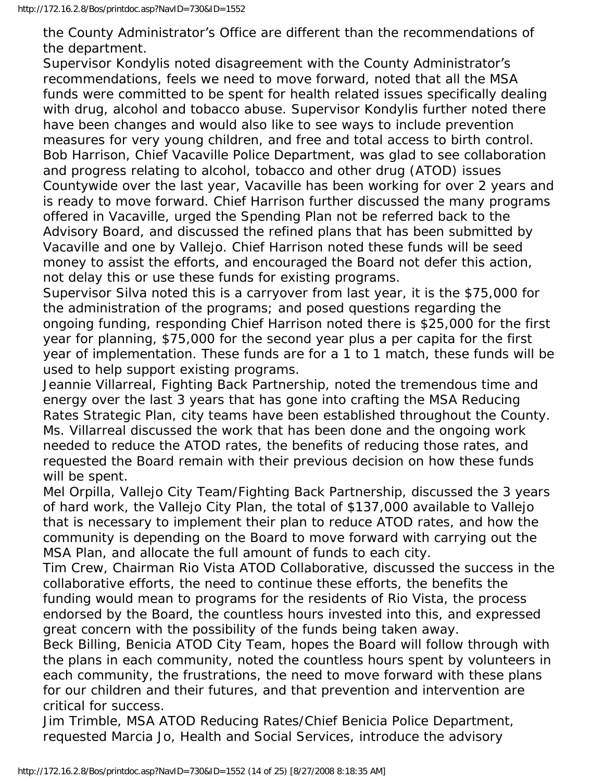the County Administrator's Office are different than the recommendations of the department.

Supervisor Kondylis noted disagreement with the County Administrator's recommendations, feels we need to move forward, noted that all the MSA funds were committed to be spent for health related issues specifically dealing with drug, alcohol and tobacco abuse. Supervisor Kondylis further noted there have been changes and would also like to see ways to include prevention measures for very young children, and free and total access to birth control. Bob Harrison, Chief Vacaville Police Department, was glad to see collaboration and progress relating to alcohol, tobacco and other drug (ATOD) issues Countywide over the last year, Vacaville has been working for over 2 years and is ready to move forward. Chief Harrison further discussed the many programs offered in Vacaville, urged the Spending Plan not be referred back to the Advisory Board, and discussed the refined plans that has been submitted by Vacaville and one by Vallejo. Chief Harrison noted these funds will be seed money to assist the efforts, and encouraged the Board not defer this action, not delay this or use these funds for existing programs.

Supervisor Silva noted this is a carryover from last year, it is the \$75,000 for the administration of the programs; and posed questions regarding the ongoing funding, responding Chief Harrison noted there is \$25,000 for the first year for planning, \$75,000 for the second year plus a per capita for the first year of implementation. These funds are for a 1 to 1 match, these funds will be used to help support existing programs.

Jeannie Villarreal, Fighting Back Partnership, noted the tremendous time and energy over the last 3 years that has gone into crafting the MSA Reducing Rates Strategic Plan, city teams have been established throughout the County. Ms. Villarreal discussed the work that has been done and the ongoing work needed to reduce the ATOD rates, the benefits of reducing those rates, and requested the Board remain with their previous decision on how these funds will be spent.

Mel Orpilla, Vallejo City Team/Fighting Back Partnership, discussed the 3 years of hard work, the Vallejo City Plan, the total of \$137,000 available to Vallejo that is necessary to implement their plan to reduce ATOD rates, and how the community is depending on the Board to move forward with carrying out the MSA Plan, and allocate the full amount of funds to each city.

Tim Crew, Chairman Rio Vista ATOD Collaborative, discussed the success in the collaborative efforts, the need to continue these efforts, the benefits the funding would mean to programs for the residents of Rio Vista, the process endorsed by the Board, the countless hours invested into this, and expressed great concern with the possibility of the funds being taken away.

Beck Billing, Benicia ATOD City Team, hopes the Board will follow through with the plans in each community, noted the countless hours spent by volunteers in each community, the frustrations, the need to move forward with these plans for our children and their futures, and that prevention and intervention are critical for success.

Jim Trimble, MSA ATOD Reducing Rates/Chief Benicia Police Department, requested Marcia Jo, Health and Social Services, introduce the advisory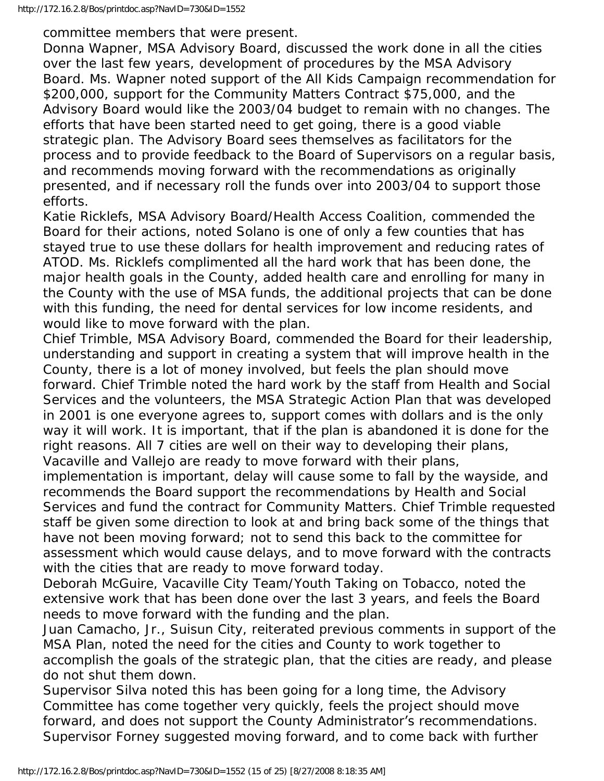committee members that were present.

Donna Wapner, MSA Advisory Board, discussed the work done in all the cities over the last few years, development of procedures by the MSA Advisory Board. Ms. Wapner noted support of the All Kids Campaign recommendation for \$200,000, support for the Community Matters Contract \$75,000, and the Advisory Board would like the 2003/04 budget to remain with no changes. The efforts that have been started need to get going, there is a good viable strategic plan. The Advisory Board sees themselves as facilitators for the process and to provide feedback to the Board of Supervisors on a regular basis, and recommends moving forward with the recommendations as originally presented, and if necessary roll the funds over into 2003/04 to support those efforts.

Katie Ricklefs, MSA Advisory Board/Health Access Coalition, commended the Board for their actions, noted Solano is one of only a few counties that has stayed true to use these dollars for health improvement and reducing rates of ATOD. Ms. Ricklefs complimented all the hard work that has been done, the major health goals in the County, added health care and enrolling for many in the County with the use of MSA funds, the additional projects that can be done with this funding, the need for dental services for low income residents, and would like to move forward with the plan.

Chief Trimble, MSA Advisory Board, commended the Board for their leadership, understanding and support in creating a system that will improve health in the County, there is a lot of money involved, but feels the plan should move forward. Chief Trimble noted the hard work by the staff from Health and Social Services and the volunteers, the MSA Strategic Action Plan that was developed in 2001 is one everyone agrees to, support comes with dollars and is the only way it will work. It is important, that if the plan is abandoned it is done for the right reasons. All 7 cities are well on their way to developing their plans, Vacaville and Vallejo are ready to move forward with their plans,

implementation is important, delay will cause some to fall by the wayside, and recommends the Board support the recommendations by Health and Social Services and fund the contract for Community Matters. Chief Trimble requested staff be given some direction to look at and bring back some of the things that have not been moving forward; not to send this back to the committee for assessment which would cause delays, and to move forward with the contracts with the cities that are ready to move forward today.

Deborah McGuire, Vacaville City Team/Youth Taking on Tobacco, noted the extensive work that has been done over the last 3 years, and feels the Board needs to move forward with the funding and the plan.

Juan Camacho, Jr., Suisun City, reiterated previous comments in support of the MSA Plan, noted the need for the cities and County to work together to accomplish the goals of the strategic plan, that the cities are ready, and please do not shut them down.

Supervisor Silva noted this has been going for a long time, the Advisory Committee has come together very quickly, feels the project should move forward, and does not support the County Administrator's recommendations. Supervisor Forney suggested moving forward, and to come back with further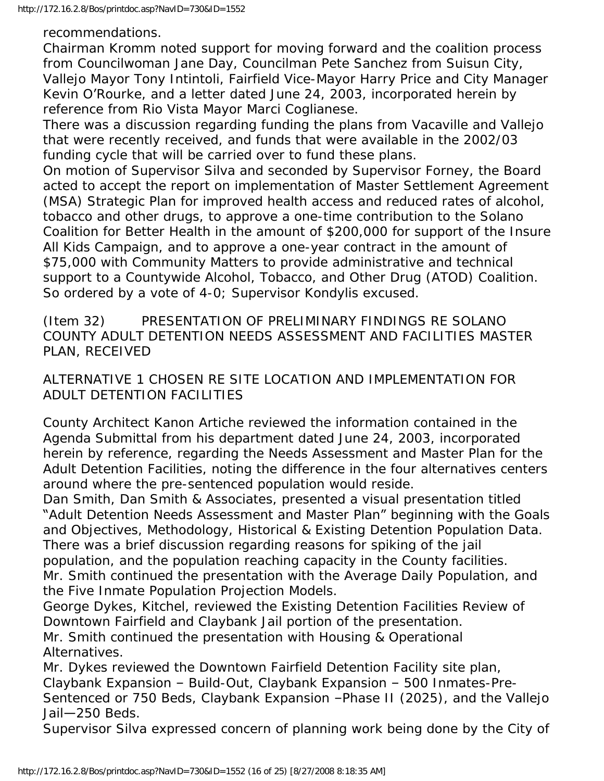recommendations.

Chairman Kromm noted support for moving forward and the coalition process from Councilwoman Jane Day, Councilman Pete Sanchez from Suisun City, Vallejo Mayor Tony Intintoli, Fairfield Vice-Mayor Harry Price and City Manager Kevin O'Rourke, and a letter dated June 24, 2003, incorporated herein by reference from Rio Vista Mayor Marci Coglianese.

There was a discussion regarding funding the plans from Vacaville and Vallejo that were recently received, and funds that were available in the 2002/03 funding cycle that will be carried over to fund these plans.

On motion of Supervisor Silva and seconded by Supervisor Forney, the Board acted to accept the report on implementation of Master Settlement Agreement (MSA) Strategic Plan for improved health access and reduced rates of alcohol, tobacco and other drugs, to approve a one-time contribution to the Solano Coalition for Better Health in the amount of \$200,000 for support of the Insure All Kids Campaign, and to approve a one-year contract in the amount of \$75,000 with Community Matters to provide administrative and technical support to a Countywide Alcohol, Tobacco, and Other Drug (ATOD) Coalition. So ordered by a vote of 4-0; Supervisor Kondylis excused.

(Item 32) PRESENTATION OF PRELIMINARY FINDINGS RE SOLANO COUNTY ADULT DETENTION NEEDS ASSESSMENT AND FACILITIES MASTER PLAN, RECEIVED

ALTERNATIVE 1 CHOSEN RE SITE LOCATION AND IMPLEMENTATION FOR ADULT DETENTION FACILITIES

County Architect Kanon Artiche reviewed the information contained in the Agenda Submittal from his department dated June 24, 2003, incorporated herein by reference, regarding the Needs Assessment and Master Plan for the Adult Detention Facilities, noting the difference in the four alternatives centers around where the pre-sentenced population would reside.

Dan Smith, Dan Smith & Associates, presented a visual presentation titled "Adult Detention Needs Assessment and Master Plan" beginning with the Goals and Objectives, Methodology, Historical & Existing Detention Population Data. There was a brief discussion regarding reasons for spiking of the jail population, and the population reaching capacity in the County facilities. Mr. Smith continued the presentation with the Average Daily Population, and the Five Inmate Population Projection Models.

George Dykes, Kitchel, reviewed the Existing Detention Facilities Review of Downtown Fairfield and Claybank Jail portion of the presentation.

Mr. Smith continued the presentation with Housing & Operational Alternatives.

Mr. Dykes reviewed the Downtown Fairfield Detention Facility site plan, Claybank Expansion – Build-Out, Claybank Expansion – 500 Inmates-Pre-Sentenced or 750 Beds, Claybank Expansion –Phase II (2025), and the Vallejo Jail—250 Beds.

Supervisor Silva expressed concern of planning work being done by the City of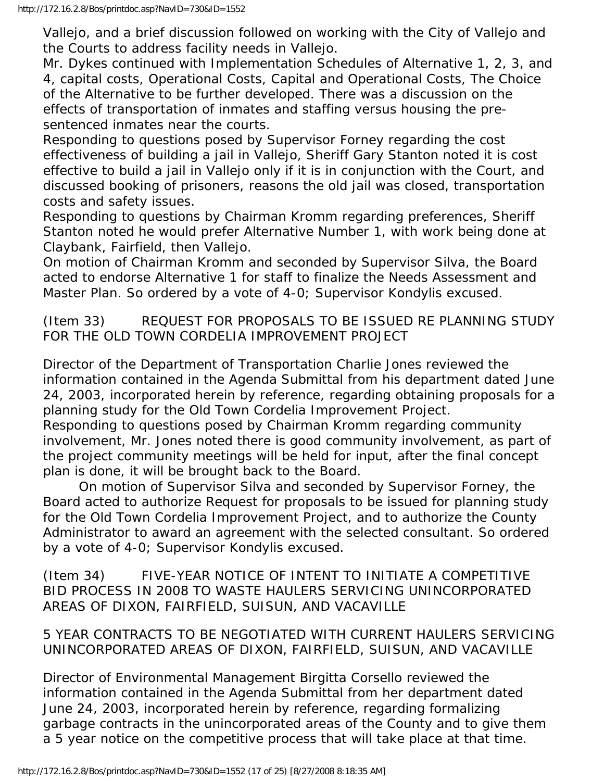Vallejo, and a brief discussion followed on working with the City of Vallejo and the Courts to address facility needs in Vallejo.

Mr. Dykes continued with Implementation Schedules of Alternative 1, 2, 3, and 4, capital costs, Operational Costs, Capital and Operational Costs, The Choice of the Alternative to be further developed. There was a discussion on the effects of transportation of inmates and staffing versus housing the presentenced inmates near the courts.

Responding to questions posed by Supervisor Forney regarding the cost effectiveness of building a jail in Vallejo, Sheriff Gary Stanton noted it is cost effective to build a jail in Vallejo only if it is in conjunction with the Court, and discussed booking of prisoners, reasons the old jail was closed, transportation costs and safety issues.

Responding to questions by Chairman Kromm regarding preferences, Sheriff Stanton noted he would prefer Alternative Number 1, with work being done at Claybank, Fairfield, then Vallejo.

On motion of Chairman Kromm and seconded by Supervisor Silva, the Board acted to endorse Alternative 1 for staff to finalize the Needs Assessment and Master Plan. So ordered by a vote of 4-0; Supervisor Kondylis excused.

(Item 33) REQUEST FOR PROPOSALS TO BE ISSUED RE PLANNING STUDY FOR THE OLD TOWN CORDELIA IMPROVEMENT PROJECT

Director of the Department of Transportation Charlie Jones reviewed the information contained in the Agenda Submittal from his department dated June 24, 2003, incorporated herein by reference, regarding obtaining proposals for a planning study for the Old Town Cordelia Improvement Project.

Responding to questions posed by Chairman Kromm regarding community involvement, Mr. Jones noted there is good community involvement, as part of the project community meetings will be held for input, after the final concept plan is done, it will be brought back to the Board.

 On motion of Supervisor Silva and seconded by Supervisor Forney, the Board acted to authorize Request for proposals to be issued for planning study for the Old Town Cordelia Improvement Project, and to authorize the County Administrator to award an agreement with the selected consultant. So ordered by a vote of 4-0; Supervisor Kondylis excused.

(Item 34) FIVE-YEAR NOTICE OF INTENT TO INITIATE A COMPETITIVE BID PROCESS IN 2008 TO WASTE HAULERS SERVICING UNINCORPORATED AREAS OF DIXON, FAIRFIELD, SUISUN, AND VACAVILLE

5 YEAR CONTRACTS TO BE NEGOTIATED WITH CURRENT HAULERS SERVICING UNINCORPORATED AREAS OF DIXON, FAIRFIELD, SUISUN, AND VACAVILLE

Director of Environmental Management Birgitta Corsello reviewed the information contained in the Agenda Submittal from her department dated June 24, 2003, incorporated herein by reference, regarding formalizing garbage contracts in the unincorporated areas of the County and to give them a 5 year notice on the competitive process that will take place at that time.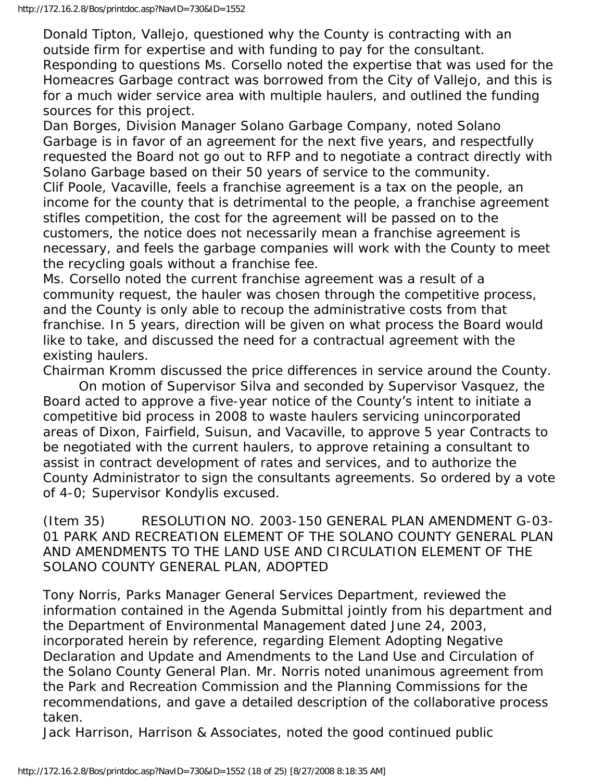Donald Tipton, Vallejo, questioned why the County is contracting with an outside firm for expertise and with funding to pay for the consultant. Responding to questions Ms. Corsello noted the expertise that was used for the Homeacres Garbage contract was borrowed from the City of Vallejo, and this is for a much wider service area with multiple haulers, and outlined the funding sources for this project.

Dan Borges, Division Manager Solano Garbage Company, noted Solano Garbage is in favor of an agreement for the next five years, and respectfully requested the Board not go out to RFP and to negotiate a contract directly with Solano Garbage based on their 50 years of service to the community. Clif Poole, Vacaville, feels a franchise agreement is a tax on the people, an income for the county that is detrimental to the people, a franchise agreement stifles competition, the cost for the agreement will be passed on to the customers, the notice does not necessarily mean a franchise agreement is necessary, and feels the garbage companies will work with the County to meet the recycling goals without a franchise fee.

Ms. Corsello noted the current franchise agreement was a result of a community request, the hauler was chosen through the competitive process, and the County is only able to recoup the administrative costs from that franchise. In 5 years, direction will be given on what process the Board would like to take, and discussed the need for a contractual agreement with the existing haulers.

Chairman Kromm discussed the price differences in service around the County.

 On motion of Supervisor Silva and seconded by Supervisor Vasquez, the Board acted to approve a five-year notice of the County's intent to initiate a competitive bid process in 2008 to waste haulers servicing unincorporated areas of Dixon, Fairfield, Suisun, and Vacaville, to approve 5 year Contracts to be negotiated with the current haulers, to approve retaining a consultant to assist in contract development of rates and services, and to authorize the County Administrator to sign the consultants agreements. So ordered by a vote of 4-0; Supervisor Kondylis excused.

(Item 35) RESOLUTION NO. 2003-150 GENERAL PLAN AMENDMENT G-03- 01 PARK AND RECREATION ELEMENT OF THE SOLANO COUNTY GENERAL PLAN AND AMENDMENTS TO THE LAND USE AND CIRCULATION ELEMENT OF THE SOLANO COUNTY GENERAL PLAN, ADOPTED

Tony Norris, Parks Manager General Services Department, reviewed the information contained in the Agenda Submittal jointly from his department and the Department of Environmental Management dated June 24, 2003, incorporated herein by reference, regarding Element Adopting Negative Declaration and Update and Amendments to the Land Use and Circulation of the Solano County General Plan. Mr. Norris noted unanimous agreement from the Park and Recreation Commission and the Planning Commissions for the recommendations, and gave a detailed description of the collaborative process taken.

Jack Harrison, Harrison & Associates, noted the good continued public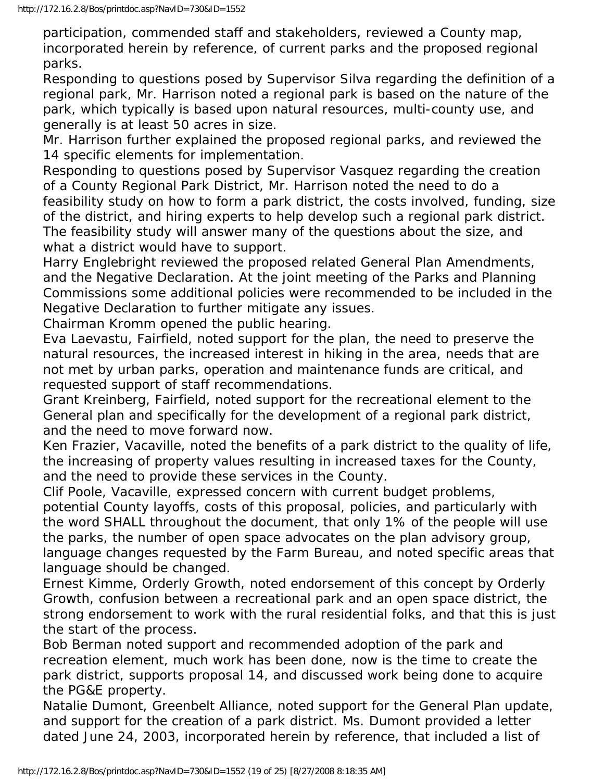participation, commended staff and stakeholders, reviewed a County map, incorporated herein by reference, of current parks and the proposed regional parks.

Responding to questions posed by Supervisor Silva regarding the definition of a regional park, Mr. Harrison noted a regional park is based on the nature of the park, which typically is based upon natural resources, multi-county use, and generally is at least 50 acres in size.

Mr. Harrison further explained the proposed regional parks, and reviewed the 14 specific elements for implementation.

Responding to questions posed by Supervisor Vasquez regarding the creation of a County Regional Park District, Mr. Harrison noted the need to do a feasibility study on how to form a park district, the costs involved, funding, size of the district, and hiring experts to help develop such a regional park district. The feasibility study will answer many of the questions about the size, and what a district would have to support.

Harry Englebright reviewed the proposed related General Plan Amendments, and the Negative Declaration. At the joint meeting of the Parks and Planning Commissions some additional policies were recommended to be included in the Negative Declaration to further mitigate any issues.

Chairman Kromm opened the public hearing.

Eva Laevastu, Fairfield, noted support for the plan, the need to preserve the natural resources, the increased interest in hiking in the area, needs that are not met by urban parks, operation and maintenance funds are critical, and requested support of staff recommendations.

Grant Kreinberg, Fairfield, noted support for the recreational element to the General plan and specifically for the development of a regional park district, and the need to move forward now.

Ken Frazier, Vacaville, noted the benefits of a park district to the quality of life, the increasing of property values resulting in increased taxes for the County, and the need to provide these services in the County.

Clif Poole, Vacaville, expressed concern with current budget problems, potential County layoffs, costs of this proposal, policies, and particularly with the word SHALL throughout the document, that only 1% of the people will use the parks, the number of open space advocates on the plan advisory group, language changes requested by the Farm Bureau, and noted specific areas that language should be changed.

Ernest Kimme, Orderly Growth, noted endorsement of this concept by Orderly Growth, confusion between a recreational park and an open space district, the strong endorsement to work with the rural residential folks, and that this is just the start of the process.

Bob Berman noted support and recommended adoption of the park and recreation element, much work has been done, now is the time to create the park district, supports proposal 14, and discussed work being done to acquire the PG&E property.

Natalie Dumont, Greenbelt Alliance, noted support for the General Plan update, and support for the creation of a park district. Ms. Dumont provided a letter dated June 24, 2003, incorporated herein by reference, that included a list of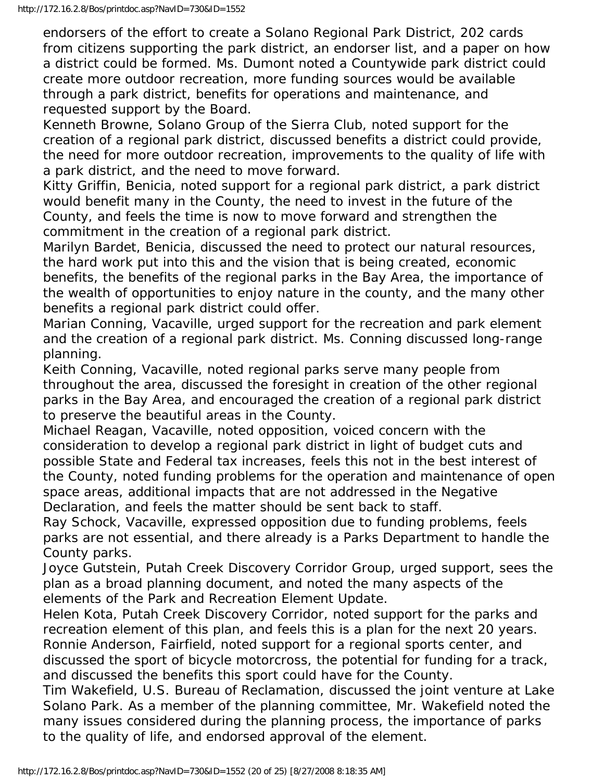endorsers of the effort to create a Solano Regional Park District, 202 cards from citizens supporting the park district, an endorser list, and a paper on how a district could be formed. Ms. Dumont noted a Countywide park district could create more outdoor recreation, more funding sources would be available through a park district, benefits for operations and maintenance, and requested support by the Board.

Kenneth Browne, Solano Group of the Sierra Club, noted support for the creation of a regional park district, discussed benefits a district could provide, the need for more outdoor recreation, improvements to the quality of life with a park district, and the need to move forward.

Kitty Griffin, Benicia, noted support for a regional park district, a park district would benefit many in the County, the need to invest in the future of the County, and feels the time is now to move forward and strengthen the commitment in the creation of a regional park district.

Marilyn Bardet, Benicia, discussed the need to protect our natural resources, the hard work put into this and the vision that is being created, economic benefits, the benefits of the regional parks in the Bay Area, the importance of the wealth of opportunities to enjoy nature in the county, and the many other benefits a regional park district could offer.

Marian Conning, Vacaville, urged support for the recreation and park element and the creation of a regional park district. Ms. Conning discussed long-range planning.

Keith Conning, Vacaville, noted regional parks serve many people from throughout the area, discussed the foresight in creation of the other regional parks in the Bay Area, and encouraged the creation of a regional park district to preserve the beautiful areas in the County.

Michael Reagan, Vacaville, noted opposition, voiced concern with the consideration to develop a regional park district in light of budget cuts and possible State and Federal tax increases, feels this not in the best interest of the County, noted funding problems for the operation and maintenance of open space areas, additional impacts that are not addressed in the Negative Declaration, and feels the matter should be sent back to staff.

Ray Schock, Vacaville, expressed opposition due to funding problems, feels parks are not essential, and there already is a Parks Department to handle the County parks.

Joyce Gutstein, Putah Creek Discovery Corridor Group, urged support, sees the plan as a broad planning document, and noted the many aspects of the elements of the Park and Recreation Element Update.

Helen Kota, Putah Creek Discovery Corridor, noted support for the parks and recreation element of this plan, and feels this is a plan for the next 20 years. Ronnie Anderson, Fairfield, noted support for a regional sports center, and discussed the sport of bicycle motorcross, the potential for funding for a track, and discussed the benefits this sport could have for the County.

Tim Wakefield, U.S. Bureau of Reclamation, discussed the joint venture at Lake Solano Park. As a member of the planning committee, Mr. Wakefield noted the many issues considered during the planning process, the importance of parks to the quality of life, and endorsed approval of the element.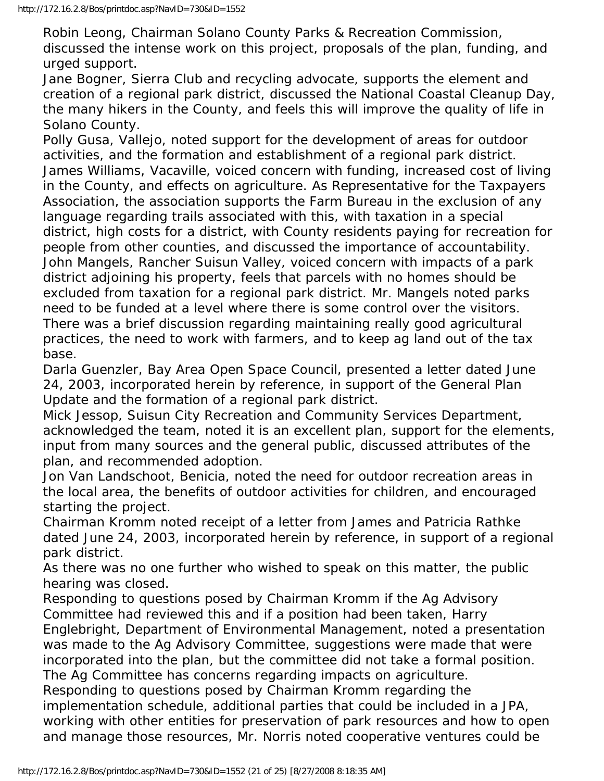Robin Leong, Chairman Solano County Parks & Recreation Commission, discussed the intense work on this project, proposals of the plan, funding, and urged support.

Jane Bogner, Sierra Club and recycling advocate, supports the element and creation of a regional park district, discussed the National Coastal Cleanup Day, the many hikers in the County, and feels this will improve the quality of life in Solano County.

Polly Gusa, Vallejo, noted support for the development of areas for outdoor activities, and the formation and establishment of a regional park district. James Williams, Vacaville, voiced concern with funding, increased cost of living in the County, and effects on agriculture. As Representative for the Taxpayers Association, the association supports the Farm Bureau in the exclusion of any language regarding trails associated with this, with taxation in a special district, high costs for a district, with County residents paying for recreation for people from other counties, and discussed the importance of accountability. John Mangels, Rancher Suisun Valley, voiced concern with impacts of a park district adjoining his property, feels that parcels with no homes should be excluded from taxation for a regional park district. Mr. Mangels noted parks need to be funded at a level where there is some control over the visitors. There was a brief discussion regarding maintaining really good agricultural practices, the need to work with farmers, and to keep ag land out of the tax base.

Darla Guenzler, Bay Area Open Space Council, presented a letter dated June 24, 2003, incorporated herein by reference, in support of the General Plan Update and the formation of a regional park district.

Mick Jessop, Suisun City Recreation and Community Services Department, acknowledged the team, noted it is an excellent plan, support for the elements, input from many sources and the general public, discussed attributes of the plan, and recommended adoption.

Jon Van Landschoot, Benicia, noted the need for outdoor recreation areas in the local area, the benefits of outdoor activities for children, and encouraged starting the project.

Chairman Kromm noted receipt of a letter from James and Patricia Rathke dated June 24, 2003, incorporated herein by reference, in support of a regional park district.

As there was no one further who wished to speak on this matter, the public hearing was closed.

Responding to questions posed by Chairman Kromm if the Ag Advisory Committee had reviewed this and if a position had been taken, Harry Englebright, Department of Environmental Management, noted a presentation was made to the Ag Advisory Committee, suggestions were made that were incorporated into the plan, but the committee did not take a formal position. The Ag Committee has concerns regarding impacts on agriculture. Responding to questions posed by Chairman Kromm regarding the implementation schedule, additional parties that could be included in a JPA, working with other entities for preservation of park resources and how to open and manage those resources, Mr. Norris noted cooperative ventures could be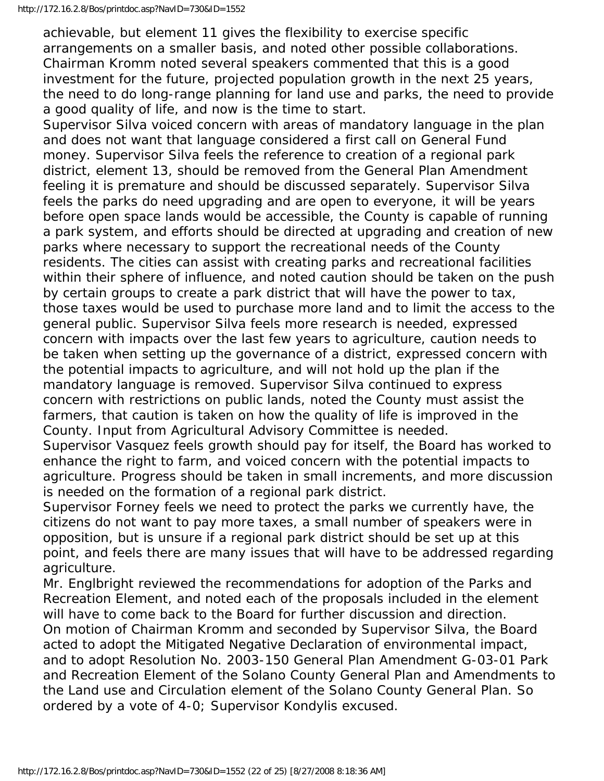achievable, but element 11 gives the flexibility to exercise specific arrangements on a smaller basis, and noted other possible collaborations. Chairman Kromm noted several speakers commented that this is a good investment for the future, projected population growth in the next 25 years, the need to do long-range planning for land use and parks, the need to provide a good quality of life, and now is the time to start.

Supervisor Silva voiced concern with areas of mandatory language in the plan and does not want that language considered a first call on General Fund money. Supervisor Silva feels the reference to creation of a regional park district, element 13, should be removed from the General Plan Amendment feeling it is premature and should be discussed separately. Supervisor Silva feels the parks do need upgrading and are open to everyone, it will be years before open space lands would be accessible, the County is capable of running a park system, and efforts should be directed at upgrading and creation of new parks where necessary to support the recreational needs of the County residents. The cities can assist with creating parks and recreational facilities within their sphere of influence, and noted caution should be taken on the push by certain groups to create a park district that will have the power to tax, those taxes would be used to purchase more land and to limit the access to the general public. Supervisor Silva feels more research is needed, expressed concern with impacts over the last few years to agriculture, caution needs to be taken when setting up the governance of a district, expressed concern with the potential impacts to agriculture, and will not hold up the plan if the mandatory language is removed. Supervisor Silva continued to express concern with restrictions on public lands, noted the County must assist the farmers, that caution is taken on how the quality of life is improved in the County. Input from Agricultural Advisory Committee is needed.

Supervisor Vasquez feels growth should pay for itself, the Board has worked to enhance the right to farm, and voiced concern with the potential impacts to agriculture. Progress should be taken in small increments, and more discussion is needed on the formation of a regional park district.

Supervisor Forney feels we need to protect the parks we currently have, the citizens do not want to pay more taxes, a small number of speakers were in opposition, but is unsure if a regional park district should be set up at this point, and feels there are many issues that will have to be addressed regarding agriculture.

Mr. Englbright reviewed the recommendations for adoption of the Parks and Recreation Element, and noted each of the proposals included in the element will have to come back to the Board for further discussion and direction. On motion of Chairman Kromm and seconded by Supervisor Silva, the Board acted to adopt the Mitigated Negative Declaration of environmental impact, and to adopt Resolution No. 2003-150 General Plan Amendment G-03-01 Park and Recreation Element of the Solano County General Plan and Amendments to the Land use and Circulation element of the Solano County General Plan. So ordered by a vote of 4-0; Supervisor Kondylis excused.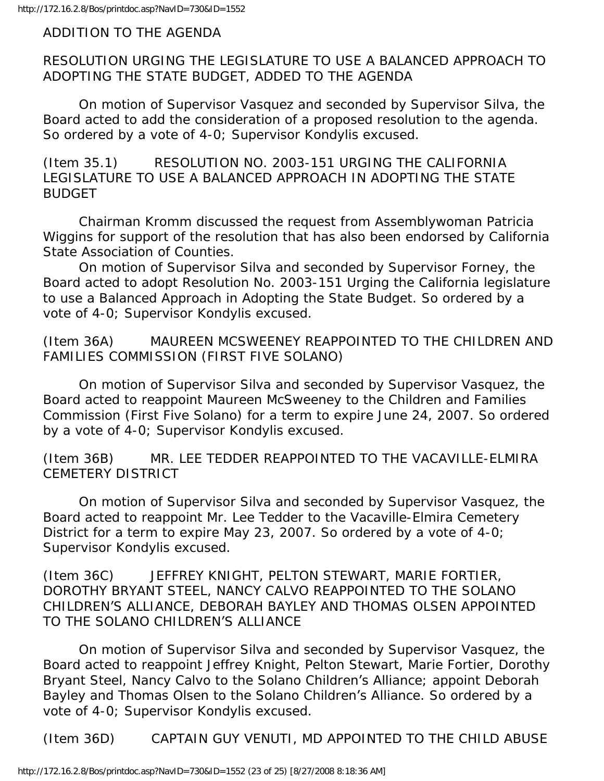ADDITION TO THE AGENDA

RESOLUTION URGING THE LEGISLATURE TO USE A BALANCED APPROACH TO ADOPTING THE STATE BUDGET, ADDED TO THE AGENDA

 On motion of Supervisor Vasquez and seconded by Supervisor Silva, the Board acted to add the consideration of a proposed resolution to the agenda. So ordered by a vote of 4-0; Supervisor Kondylis excused.

(Item 35.1) RESOLUTION NO. 2003-151 URGING THE CALIFORNIA LEGISLATURE TO USE A BALANCED APPROACH IN ADOPTING THE STATE BUDGET

 Chairman Kromm discussed the request from Assemblywoman Patricia Wiggins for support of the resolution that has also been endorsed by California State Association of Counties.

 On motion of Supervisor Silva and seconded by Supervisor Forney, the Board acted to adopt Resolution No. 2003-151 Urging the California legislature to use a Balanced Approach in Adopting the State Budget. So ordered by a vote of 4-0; Supervisor Kondylis excused.

(Item 36A) MAUREEN MCSWEENEY REAPPOINTED TO THE CHILDREN AND FAMILIES COMMISSION (FIRST FIVE SOLANO)

 On motion of Supervisor Silva and seconded by Supervisor Vasquez, the Board acted to reappoint Maureen McSweeney to the Children and Families Commission (First Five Solano) for a term to expire June 24, 2007. So ordered by a vote of 4-0; Supervisor Kondylis excused.

(Item 36B) MR. LEE TEDDER REAPPOINTED TO THE VACAVILLE-ELMIRA CEMETERY DISTRICT

 On motion of Supervisor Silva and seconded by Supervisor Vasquez, the Board acted to reappoint Mr. Lee Tedder to the Vacaville-Elmira Cemetery District for a term to expire May 23, 2007. So ordered by a vote of 4-0; Supervisor Kondylis excused.

(Item 36C) JEFFREY KNIGHT, PELTON STEWART, MARIE FORTIER, DOROTHY BRYANT STEEL, NANCY CALVO REAPPOINTED TO THE SOLANO CHILDREN'S ALLIANCE, DEBORAH BAYLEY AND THOMAS OLSEN APPOINTED TO THE SOLANO CHILDREN'S ALLIANCE

 On motion of Supervisor Silva and seconded by Supervisor Vasquez, the Board acted to reappoint Jeffrey Knight, Pelton Stewart, Marie Fortier, Dorothy Bryant Steel, Nancy Calvo to the Solano Children's Alliance; appoint Deborah Bayley and Thomas Olsen to the Solano Children's Alliance. So ordered by a vote of 4-0; Supervisor Kondylis excused.

(Item 36D) CAPTAIN GUY VENUTI, MD APPOINTED TO THE CHILD ABUSE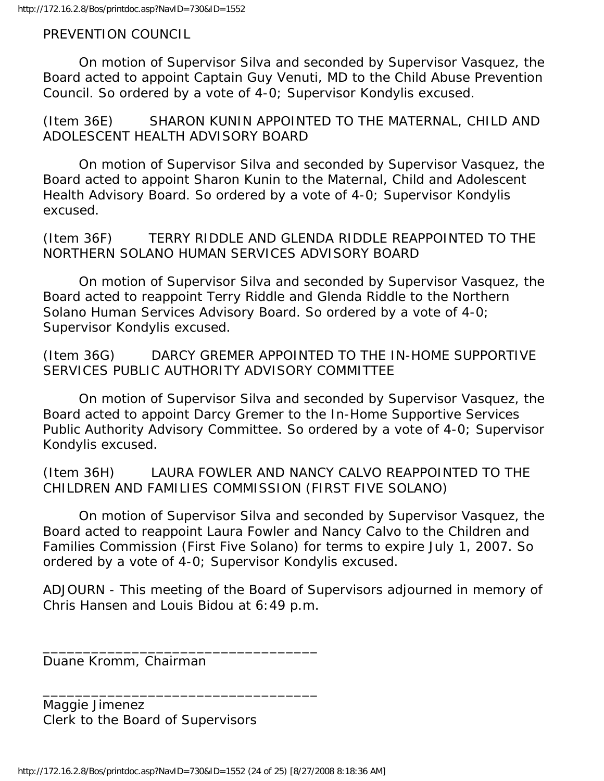PREVENTION COUNCIL

 On motion of Supervisor Silva and seconded by Supervisor Vasquez, the Board acted to appoint Captain Guy Venuti, MD to the Child Abuse Prevention Council. So ordered by a vote of 4-0; Supervisor Kondylis excused.

(Item 36E) SHARON KUNIN APPOINTED TO THE MATERNAL, CHILD AND ADOLESCENT HEALTH ADVISORY BOARD

 On motion of Supervisor Silva and seconded by Supervisor Vasquez, the Board acted to appoint Sharon Kunin to the Maternal, Child and Adolescent Health Advisory Board. So ordered by a vote of 4-0; Supervisor Kondylis excused.

(Item 36F) TERRY RIDDLE AND GLENDA RIDDLE REAPPOINTED TO THE NORTHERN SOLANO HUMAN SERVICES ADVISORY BOARD

 On motion of Supervisor Silva and seconded by Supervisor Vasquez, the Board acted to reappoint Terry Riddle and Glenda Riddle to the Northern Solano Human Services Advisory Board. So ordered by a vote of 4-0; Supervisor Kondylis excused.

(Item 36G) DARCY GREMER APPOINTED TO THE IN-HOME SUPPORTIVE SERVICES PUBLIC AUTHORITY ADVISORY COMMITTEE

 On motion of Supervisor Silva and seconded by Supervisor Vasquez, the Board acted to appoint Darcy Gremer to the In-Home Supportive Services Public Authority Advisory Committee. So ordered by a vote of 4-0; Supervisor Kondylis excused.

(Item 36H) LAURA FOWLER AND NANCY CALVO REAPPOINTED TO THE CHILDREN AND FAMILIES COMMISSION (FIRST FIVE SOLANO)

 On motion of Supervisor Silva and seconded by Supervisor Vasquez, the Board acted to reappoint Laura Fowler and Nancy Calvo to the Children and Families Commission (First Five Solano) for terms to expire July 1, 2007. So ordered by a vote of 4-0; Supervisor Kondylis excused.

ADJOURN - This meeting of the Board of Supervisors adjourned in memory of Chris Hansen and Louis Bidou at 6:49 p.m.

Duane Kromm, Chairman

Maggie Jimenez Clerk to the Board of Supervisors

\_\_\_\_\_\_\_\_\_\_\_\_\_\_\_\_\_\_\_\_\_\_\_\_\_\_\_\_\_\_\_\_\_\_

\_\_\_\_\_\_\_\_\_\_\_\_\_\_\_\_\_\_\_\_\_\_\_\_\_\_\_\_\_\_\_\_\_\_